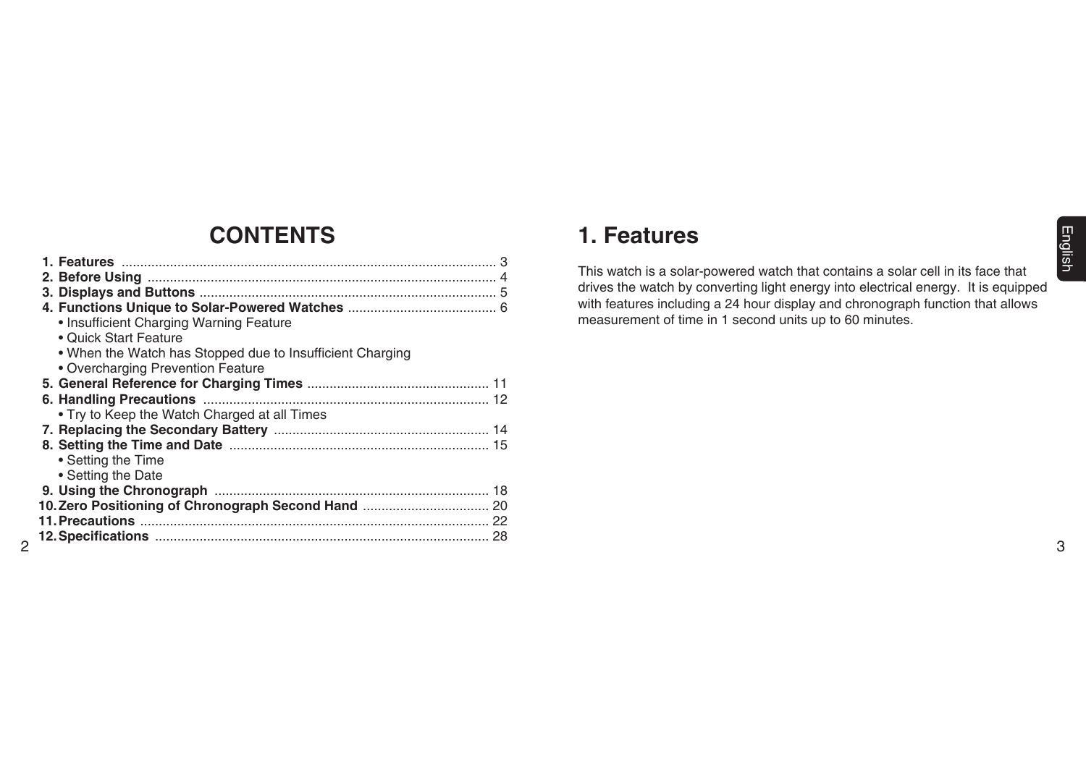# **English** 3English

# **CONTENTS**

| • Insufficient Charging Warning Feature                   |    |
|-----------------------------------------------------------|----|
| • Quick Start Feature                                     |    |
| • When the Watch has Stopped due to Insufficient Charging |    |
| • Overcharging Prevention Feature                         |    |
|                                                           |    |
|                                                           |    |
| • Try to Keep the Watch Charged at all Times              |    |
|                                                           |    |
|                                                           |    |
| • Setting the Time                                        |    |
| • Setting the Date                                        |    |
|                                                           |    |
|                                                           |    |
|                                                           |    |
|                                                           | 28 |
| $\mathcal{P}$                                             |    |

# **1. Features**

This watch is a solar-powered watch that contains a solar cell in its face that drives the watch by converting light energy into electrical energy. It is equipped with features including a 24 hour display and chronograph function that allows measurement of time in 1 second units up to 60 minutes.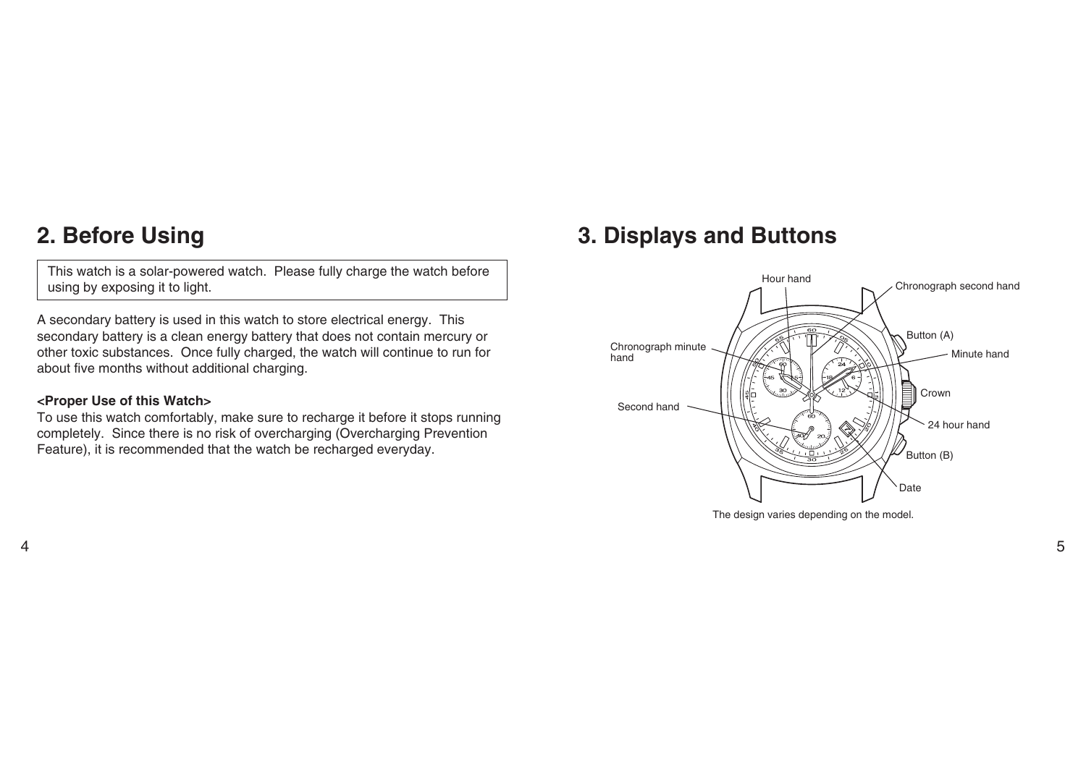# **2. Before Using**

This watch is a solar-powered watch. Please fully charge the watch before using by exposing it to light.

A secondary battery is used in this watch to store electrical energy. This secondary battery is a clean energy battery that does not contain mercury or other toxic substances. Once fully charged, the watch will continue to run for about five months without additional charging.

### **<Proper Use of this Watch>**

To use this watch comfortably, make sure to recharge it before it stops running completely. Since there is no risk of overcharging (Overcharging Prevention Feature), it is recommended that the watch be recharged everyday.

# **3. Displays and Buttons**



The design varies depending on the model.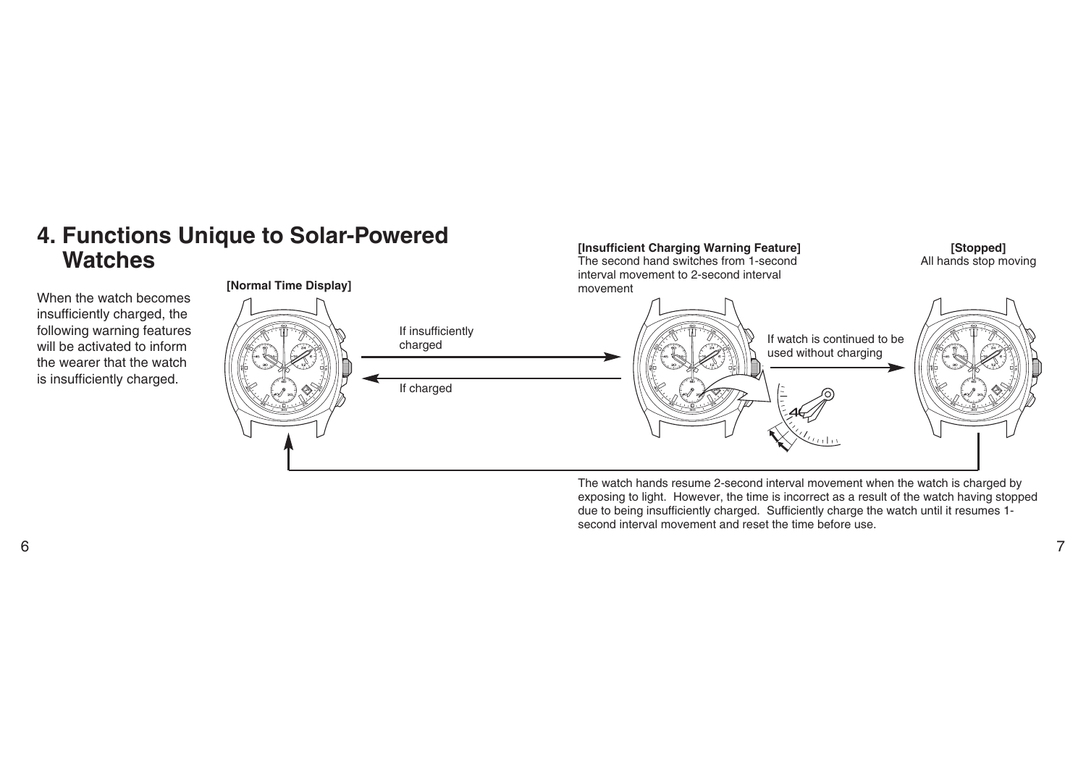# **4. Functions Unique to Solar-Powered Watches**

When the watch becomes insufficiently charged, the following warning features will be activated to inform the wearer that the watch is insufficiently charged.



**[Insufficient Charging Warning Feature]**

The watch hands resume 2-second interval movement when the watch is charged by exposing to light. However, the time is incorrect as a result of the watch having stopped due to being insufficiently charged. Sufficiently charge the watch until it resumes 1 second interval movement and reset the time before use.

**[Stopped]**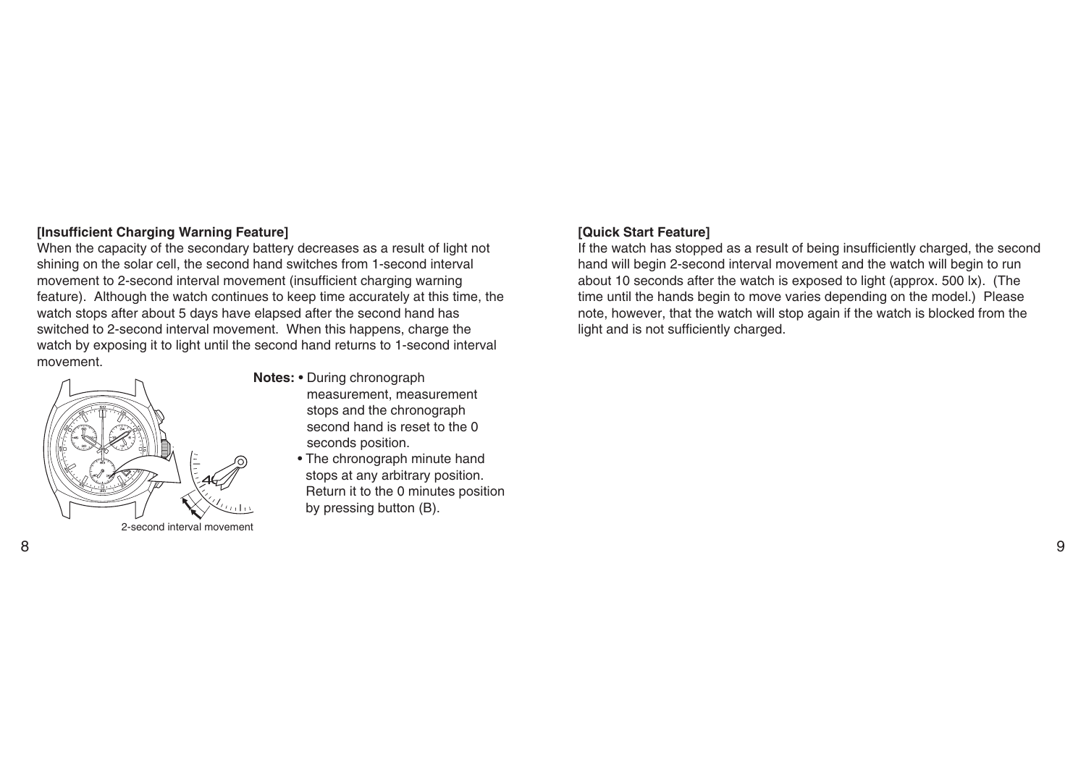### **[Insufficient Charging Warning Feature]**

When the capacity of the secondary battery decreases as a result of light not shining on the solar cell, the second hand switches from 1-second interval movement to 2-second interval movement (insufficient charging warning feature). Although the watch continues to keep time accurately at this time, the watch stops after about 5 days have elapsed after the second hand has switched to 2-second interval movement. When this happens, charge the watch by exposing it to light until the second hand returns to 1-second interval movement.



- **Notes:** During chronograph
	- measurement, measurement stops and the chronograph second hand is reset to the 0 seconds position.
	- The chronograph minute hand stops at any arbitrary position. Return it to the 0 minutes position by pressing button (B).

### **[Quick Start Feature]**

If the watch has stopped as a result of being insufficiently charged, the second hand will begin 2-second interval movement and the watch will begin to run about 10 seconds after the watch is exposed to light (approx. 500 lx). (The time until the hands begin to move varies depending on the model.) Please note, however, that the watch will stop again if the watch is blocked from the light and is not sufficiently charged.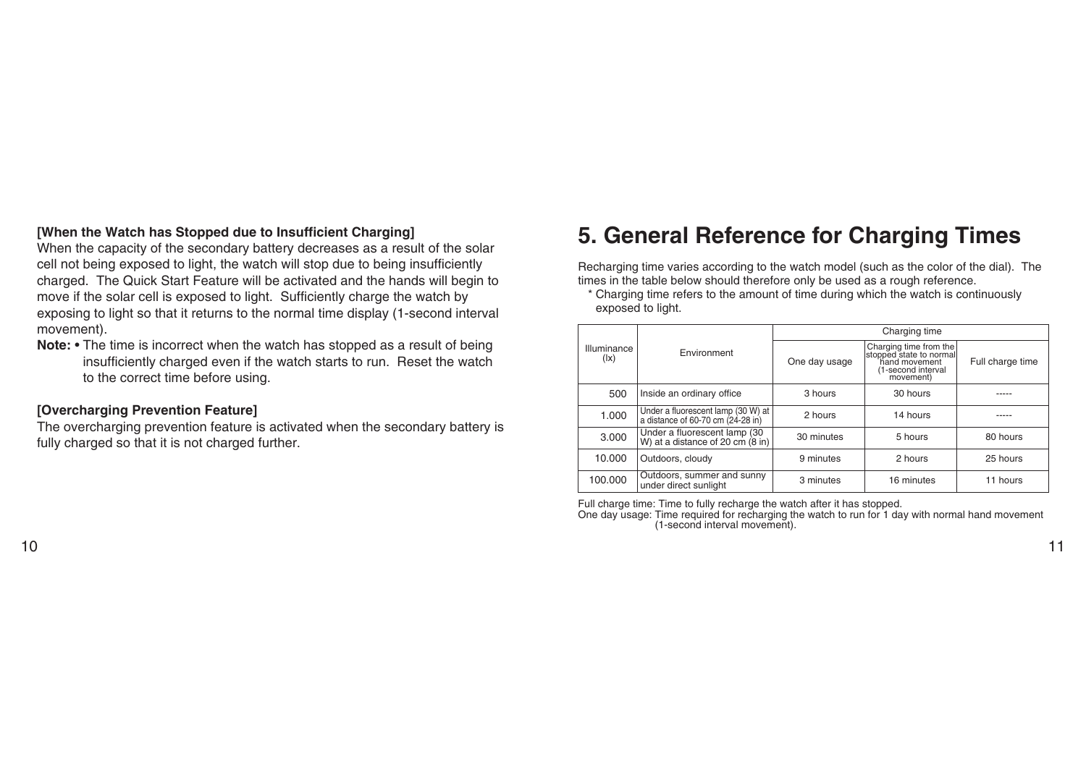### **[When the Watch has Stopped due to Insufficient Charging]**

When the capacity of the secondary battery decreases as a result of the solar cell not being exposed to light, the watch will stop due to being insufficiently charged. The Quick Start Feature will be activated and the hands will begin to move if the solar cell is exposed to light. Sufficiently charge the watch by exposing to light so that it returns to the normal time display (1-second interval movement).

**Note:** • The time is incorrect when the watch has stopped as a result of being insufficiently charged even if the watch starts to run. Reset the watch to the correct time before using.

### **[Overcharging Prevention Feature]**

The overcharging prevention feature is activated when the secondary battery is fully charged so that it is not charged further.

# **5. General Reference for Charging Times**

Recharging time varies according to the watch model (such as the color of the dial). The times in the table below should therefore only be used as a rough reference.

<sup>\*</sup> Charging time refers to the amount of time during which the watch is continuously exposed to light.

|                                         |                                                                            | Charging time |                                                                                                       |                  |  |
|-----------------------------------------|----------------------------------------------------------------------------|---------------|-------------------------------------------------------------------------------------------------------|------------------|--|
| Illuminance<br>$(\mathsf{I}\mathsf{x})$ | Environment                                                                | One day usage | Charging time from the<br>stopped state to normal<br>hand movement<br>(1-second interval<br>movement) | Full charge time |  |
| 500                                     | Inside an ordinary office                                                  | 3 hours       | 30 hours                                                                                              |                  |  |
| 1.000                                   | Under a fluorescent lamp (30 W) at<br>a distance of 60-70 cm (24-28 in)    | 2 hours       | 14 hours                                                                                              |                  |  |
| 3.000                                   | Under a fluorescent lamp (30<br>W) at a distance of 20 cm $(8 \text{ in})$ | 30 minutes    | 5 hours                                                                                               | 80 hours         |  |
| 10.000                                  | Outdoors, cloudy                                                           | 9 minutes     | 2 hours                                                                                               | 25 hours         |  |
| 100.000                                 | Outdoors, summer and sunny<br>under direct sunlight                        | 3 minutes     | 16 minutes                                                                                            | 11 hours         |  |

Full charge time: Time to fully recharge the watch after it has stopped.

One day usage: Time required for recharging the watch to run for 1 day with normal hand movement (1-second interval movement).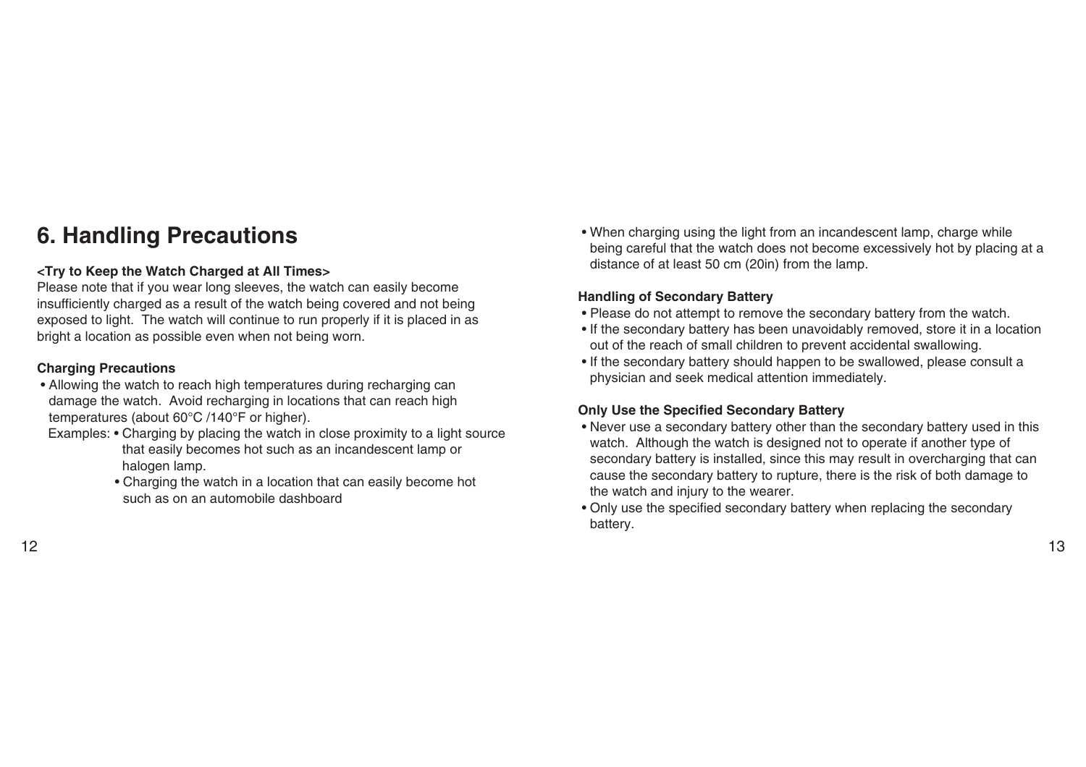# **6. Handling Precautions**

### **<Try to Keep the Watch Charged at All Times>**

Please note that if you wear long sleeves, the watch can easily become insufficiently charged as a result of the watch being covered and not being exposed to light. The watch will continue to run properly if it is placed in as bright a location as possible even when not being worn.

### **Charging Precautions**

- Allowing the watch to reach high temperatures during recharging can damage the watch. Avoid recharging in locations that can reach high temperatures (about 60°C /140°F or higher).
- Examples: Charging by placing the watch in close proximity to a light source that easily becomes hot such as an incandescent lamp or halogen lamp.
	- Charging the watch in a location that can easily become hot such as on an automobile dashboard

• When charging using the light from an incandescent lamp, charge while being careful that the watch does not become excessively hot by placing at a distance of at least 50 cm (20in) from the lamp.

### **Handling of Secondary Battery**

- Please do not attempt to remove the secondary battery from the watch.
- If the secondary battery has been unavoidably removed, store it in a location out of the reach of small children to prevent accidental swallowing.
- If the secondary battery should happen to be swallowed, please consult a physician and seek medical attention immediately.

### **Only Use the Specified Secondary Battery**

- Never use a secondary battery other than the secondary battery used in this watch. Although the watch is designed not to operate if another type of secondary battery is installed, since this may result in overcharging that can cause the secondary battery to rupture, there is the risk of both damage to the watch and injury to the wearer.
- Only use the specified secondary battery when replacing the secondary battery.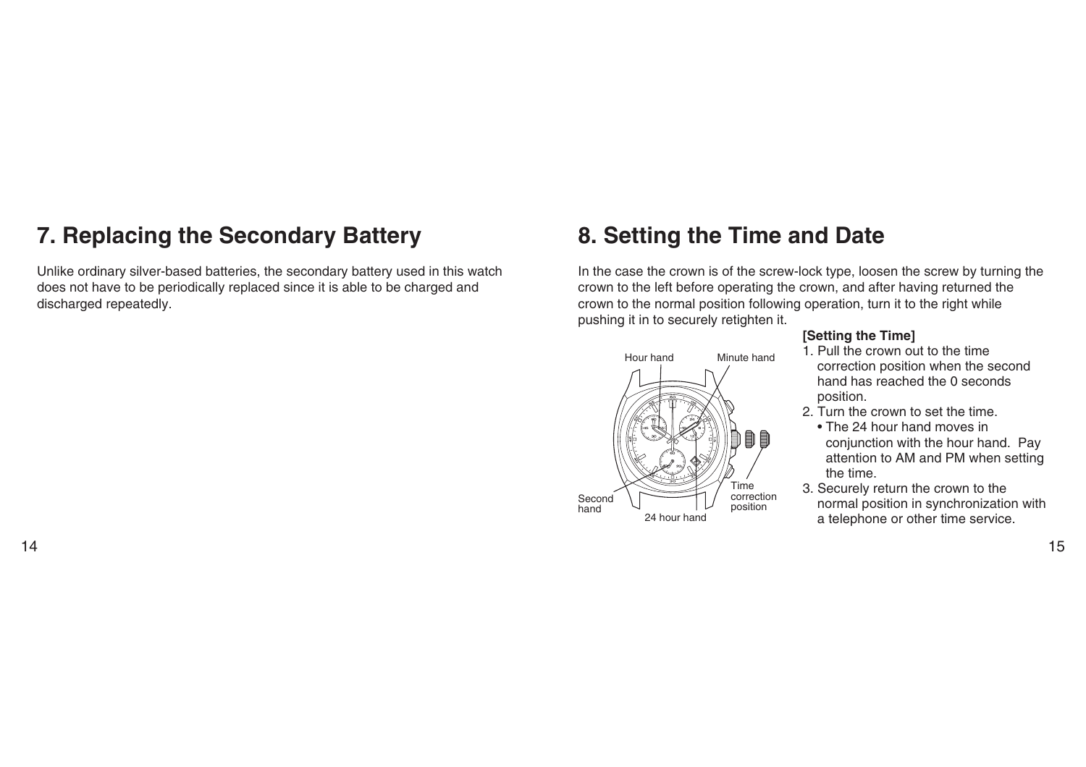# **7. Replacing the Secondary Battery**

Unlike ordinary silver-based batteries, the secondary battery used in this watch does not have to be periodically replaced since it is able to be charged and discharged repeatedly.

# **8. Setting the Time and Date**

In the case the crown is of the screw-lock type, loosen the screw by turning the crown to the left before operating the crown, and after having returned the crown to the normal position following operation, turn it to the right while pushing it in to securely retighten it.



### **[Setting the Time]**

- 1. Pull the crown out to the time correction position when the second hand has reached the 0 seconds position.
- 2. Turn the crown to set the time.
	- The 24 hour hand moves in conjunction with the hour hand. Pay attention to AM and PM when setting the time.
- 3. Securely return the crown to the normal position in synchronization with a telephone or other time service.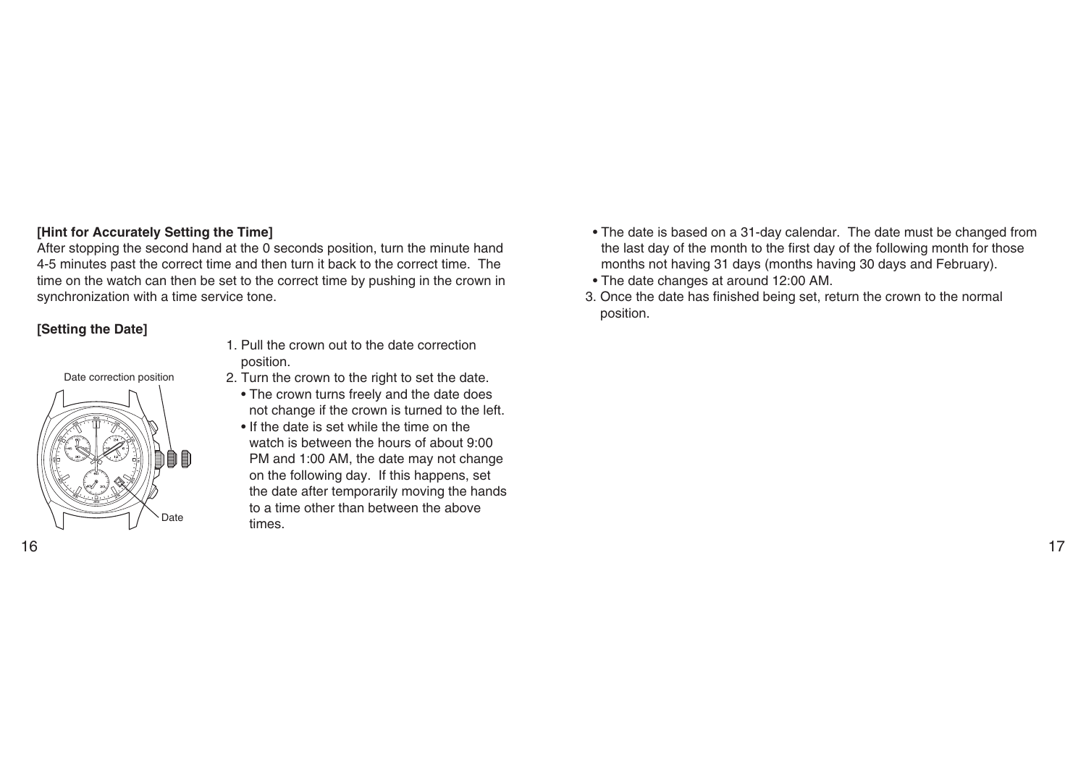### **[Hint for Accurately Setting the Time]**

After stopping the second hand at the 0 seconds position, turn the minute hand 4-5 minutes past the correct time and then turn it back to the correct time. The time on the watch can then be set to the correct time by pushing in the crown in synchronization with a time service tone.

### **[Setting the Date]**

Date correction position



- 1. Pull the crown out to the date correction position.
- 2. Turn the crown to the right to set the date.
	- The crown turns freely and the date does not change if the crown is turned to the left.
	- If the date is set while the time on the watch is between the hours of about 9:00 PM and 1:00 AM, the date may not change on the following day. If this happens, set the date after temporarily moving the hands to a time other than between the above times.
- The date is based on a 31-day calendar. The date must be changed from the last day of the month to the first day of the following month for those months not having 31 days (months having 30 days and February).
- The date changes at around 12:00 AM.
- 3. Once the date has finished being set, return the crown to the normal position.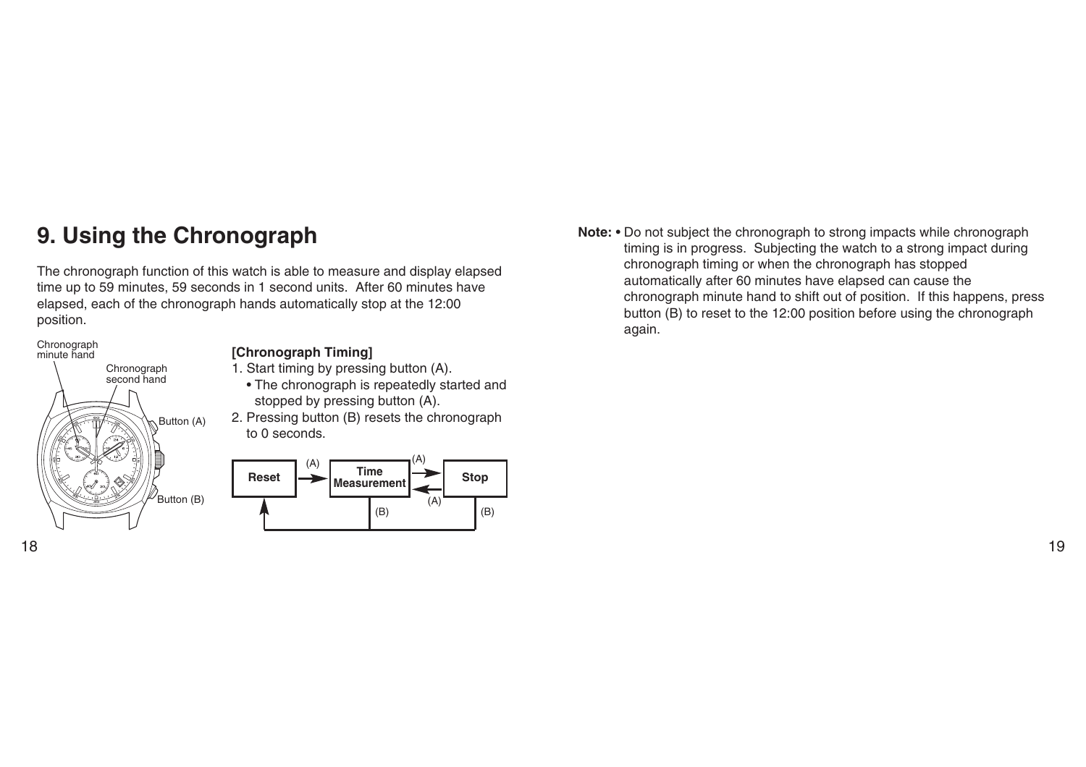# **9. Using the Chronograph**

The chronograph function of this watch is able to measure and display elapsed time up to 59 minutes, 59 seconds in 1 second units. After 60 minutes have elapsed, each of the chronograph hands automatically stop at the 12:00 position.

# 8 Chronograph second hand Button (A) Button (B) Chronograph minute hand

### **[Chronograph Timing]**

- 1. Start timing by pressing button (A).
- The chronograph is repeatedly started and stopped by pressing button (A).
- 2. Pressing button (B) resets the chronograph to 0 seconds.



**Note:** • Do not subject the chronograph to strong impacts while chronograph timing is in progress. Subjecting the watch to a strong impact during chronograph timing or when the chronograph has stopped automatically after 60 minutes have elapsed can cause the chronograph minute hand to shift out of position. If this happens, press button (B) to reset to the 12:00 position before using the chronograph again.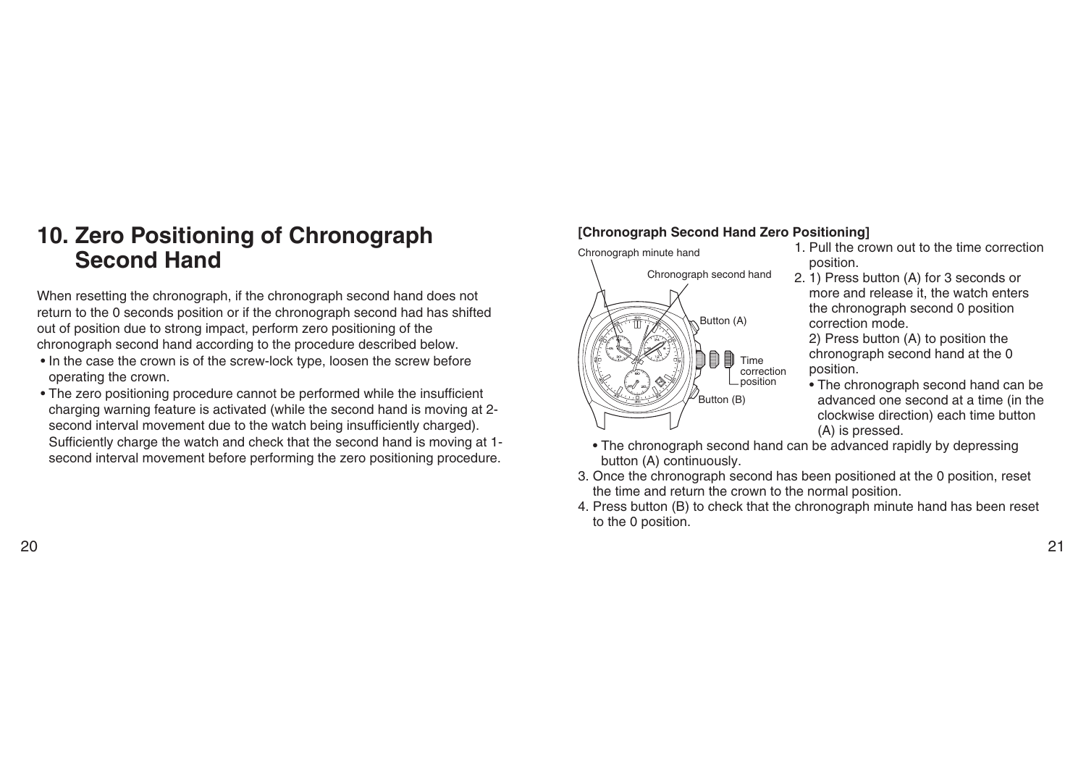# **10. Zero Positioning of Chronograph Second Hand**

When resetting the chronograph, if the chronograph second hand does not return to the 0 seconds position or if the chronograph second had has shifted out of position due to strong impact, perform zero positioning of the chronograph second hand according to the procedure described below.

- In the case the crown is of the screw-lock type, loosen the screw before operating the crown.
- The zero positioning procedure cannot be performed while the insufficient charging warning feature is activated (while the second hand is moving at 2 second interval movement due to the watch being insufficiently charged). Sufficiently charge the watch and check that the second hand is moving at 1 second interval movement before performing the zero positioning procedure.

### **[Chronograph Second Hand Zero Positioning]**

Chronograph minute handChronograph second hand Button (A) 8 圁 目 Time correction position Button (B)

- 1. Pull the crown out to the time correction position.
- 2. 1) Press button (A) for 3 seconds or more and release it, the watch enters the chronograph second 0 position correction mode.

2) Press button (A) to position the chronograph second hand at the 0 position.

• The chronograph second hand can be advanced one second at a time (in the clockwise direction) each time button (A) is pressed.

• The chronograph second hand can be advanced rapidly by depressing button (A) continuously.

- 3. Once the chronograph second has been positioned at the 0 position, reset the time and return the crown to the normal position.
- 4. Press button (B) to check that the chronograph minute hand has been reset to the 0 position.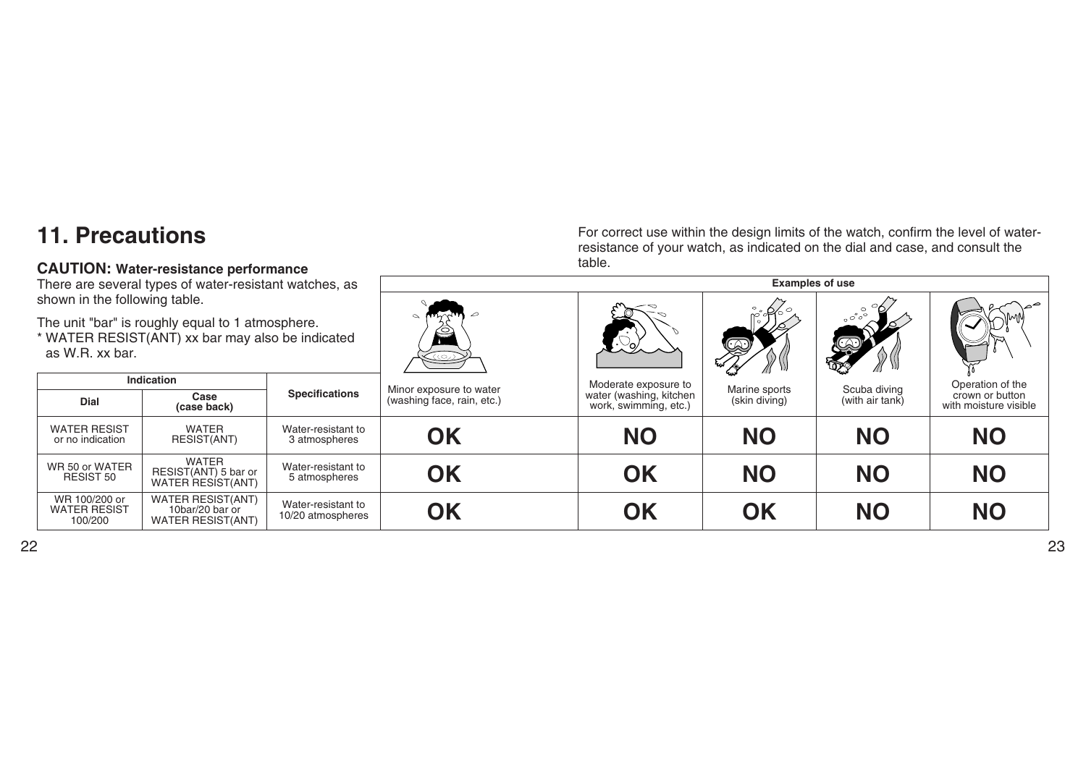# **11. Precautions**

### **CAUTION: Water-resistance performance**

For correct use within the design limits of the watch, confirm the level of waterresistance of your watch, as indicated on the dial and case, and consult the table.

| There are several types of water-resistant watches, as<br>shown in the following table.                                 |                                                                         | <b>Examples of use</b>                  |                      |                            |                                                  |                  |                 |                                          |
|-------------------------------------------------------------------------------------------------------------------------|-------------------------------------------------------------------------|-----------------------------------------|----------------------|----------------------------|--------------------------------------------------|------------------|-----------------|------------------------------------------|
|                                                                                                                         |                                                                         |                                         |                      |                            |                                                  |                  |                 |                                          |
| The unit "bar" is roughly equal to 1 atmosphere.<br>* WATER RESIST(ANT) xx bar may also be indicated<br>as W.R. xx bar. |                                                                         | زره)                                    |                      | Q)<br>C                    | $\circ\ ^\circ\ ^\circ\ ^\circ$                  |                  |                 |                                          |
| <b>Indication</b>                                                                                                       |                                                                         | Minor exposure to water                 | Moderate exposure to | Marine sports              | Scuba diving                                     | Operation of the |                 |                                          |
| Dial                                                                                                                    | Case<br>(case back)                                                     | <b>Specifications</b>                   |                      | (washing face, rain, etc.) | water (washing, kitchen<br>work, swimming, etc.) | (skin diving)    | (with air tank) | crown or button<br>with moisture visible |
| <b>WATER RESIST</b><br>or no indication                                                                                 | <b>WATER</b><br>RESIST(ANT)                                             | Water-resistant to<br>3 atmospheres     | <b>OK</b>            | <b>NO</b>                  | <b>NO</b>                                        | <b>NO</b>        | <b>NO</b>       |                                          |
| WR 50 or WATER<br><b>RESIST 50</b>                                                                                      | <b>WATER</b><br>RESIST(ANT) 5 bar or<br>WATER RESIST(ANT)               | Water-resistant to<br>5 atmospheres     | <b>OK</b>            | OK                         | <b>NO</b>                                        | <b>NO</b>        | <b>NO</b>       |                                          |
| WR 100/200 or<br><b>WATER RESIST</b><br>100/200                                                                         | <b>WATER RESIST(ANT)</b><br>10bar/20 bar or<br><b>WATER RESIST(ANT)</b> | Water-resistant to<br>10/20 atmospheres | <b>OK</b>            | OK                         | <b>OK</b>                                        | <b>NO</b>        | <b>NO</b>       |                                          |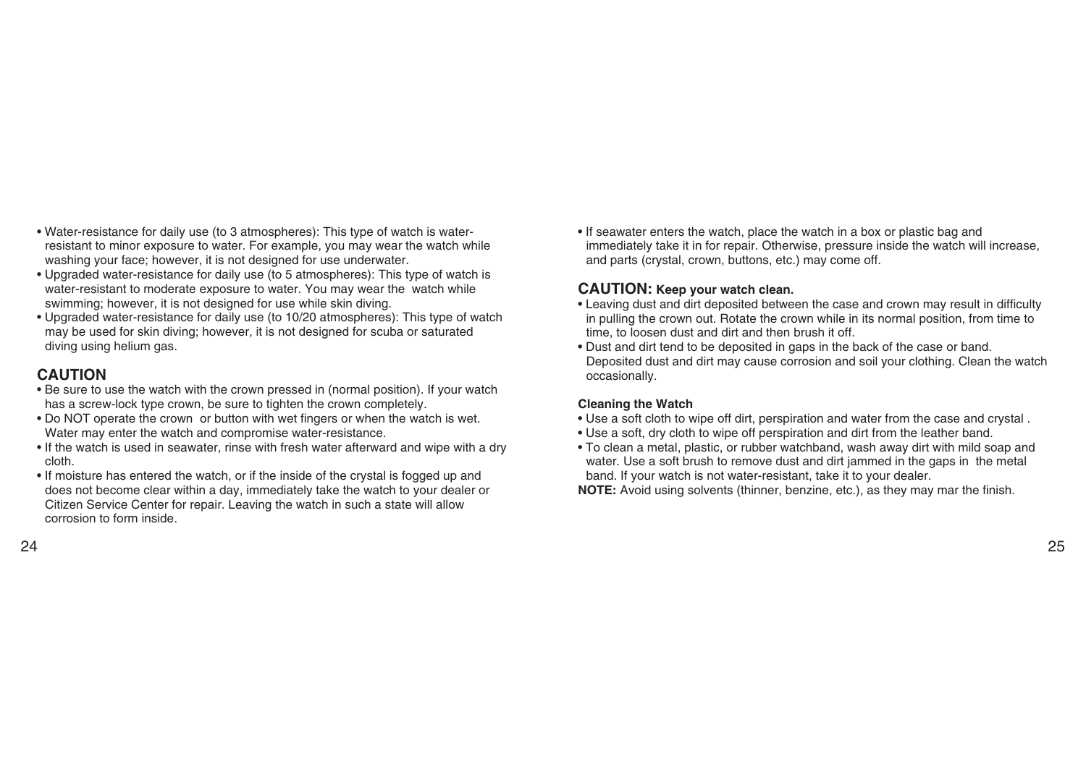- Water-resistance for daily use (to 3 atmospheres): This type of watch is waterresistant to minor exposure to water. For example, you may wear the watch while washing your face; however, it is not designed for use underwater.
- Upgraded water-resistance for daily use (to 5 atmospheres): This type of watch is water-resistant to moderate exposure to water. You may wear the watch while swimming; however, it is not designed for use while skin diving.
- Upgraded water-resistance for daily use (to 10/20 atmospheres): This type of watch may be used for skin diving; however, it is not designed for scuba or saturated diving using helium gas.

## **CAUTION**

- Be sure to use the watch with the crown pressed in (normal position). If your watch has a screw-lock type crown, be sure to tighten the crown completely.
- Do NOT operate the crown or button with wet fingers or when the watch is wet. Water may enter the watch and compromise water-resistance.
- If the watch is used in seawater, rinse with fresh water afterward and wipe with a dry cloth.
- If moisture has entered the watch, or if the inside of the crystal is fogged up and does not become clear within a day, immediately take the watch to your dealer or Citizen Service Center for repair. Leaving the watch in such a state will allow corrosion to form inside.

• If seawater enters the watch, place the watch in a box or plastic bag and immediately take it in for repair. Otherwise, pressure inside the watch will increase, and parts (crystal, crown, buttons, etc.) may come off.

### **CAUTION: Keep your watch clean.**

- Leaving dust and dirt deposited between the case and crown may result in difficulty in pulling the crown out. Rotate the crown while in its normal position, from time to time, to loosen dust and dirt and then brush it off.
- Dust and dirt tend to be deposited in gaps in the back of the case or band. Deposited dust and dirt may cause corrosion and soil your clothing. Clean the watch occasionally.

### **Cleaning the Watch**

- Use a soft cloth to wipe off dirt, perspiration and water from the case and crystal .
- Use a soft, dry cloth to wipe off perspiration and dirt from the leather band.
- To clean a metal, plastic, or rubber watchband, wash away dirt with mild soap and water. Use a soft brush to remove dust and dirt jammed in the gaps in the metal band. If your watch is not water-resistant, take it to your dealer.

**NOTE:** Avoid using solvents (thinner, benzine, etc.), as they may mar the finish.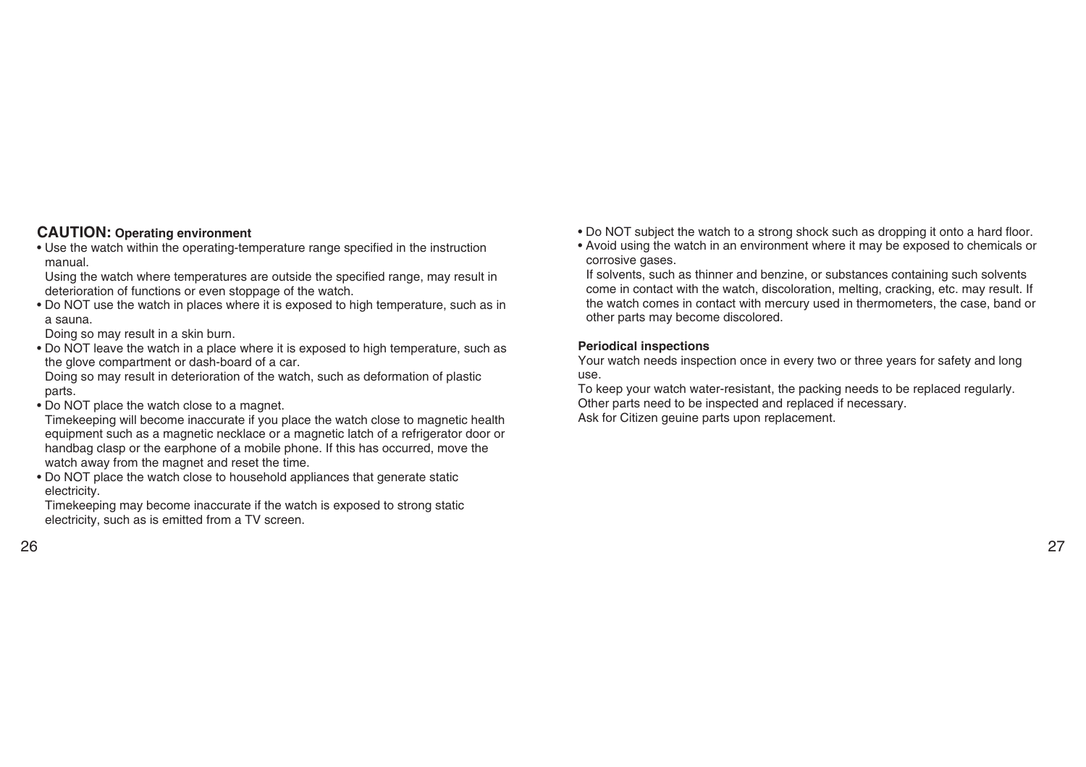### **CAUTION: Operating environment**

• Use the watch within the operating-temperature range specified in the instruction manual.

Using the watch where temperatures are outside the specified range, may result in deterioration of functions or even stoppage of the watch.

• Do NOT use the watch in places where it is exposed to high temperature, such as in a sauna.

Doing so may result in a skin burn.

• Do NOT leave the watch in a place where it is exposed to high temperature, such as the glove compartment or dash-board of a car.

Doing so may result in deterioration of the watch, such as deformation of plastic parts.

• Do NOT place the watch close to a magnet.

Timekeeping will become inaccurate if you place the watch close to magnetic health equipment such as a magnetic necklace or a magnetic latch of a refrigerator door or handbag clasp or the earphone of a mobile phone. If this has occurred, move the watch away from the magnet and reset the time.

• Do NOT place the watch close to household appliances that generate static electricity.

Timekeeping may become inaccurate if the watch is exposed to strong static electricity, such as is emitted from a TV screen.

- Do NOT subject the watch to a strong shock such as dropping it onto a hard floor.
- Avoid using the watch in an environment where it may be exposed to chemicals or corrosive gases.

If solvents, such as thinner and benzine, or substances containing such solvents come in contact with the watch, discoloration, melting, cracking, etc. may result. If the watch comes in contact with mercury used in thermometers, the case, band or other parts may become discolored.

### **Periodical inspections**

Your watch needs inspection once in every two or three years for safety and long use.

To keep your watch water-resistant, the packing needs to be replaced regularly. Other parts need to be inspected and replaced if necessary. Ask for Citizen geuine parts upon replacement.